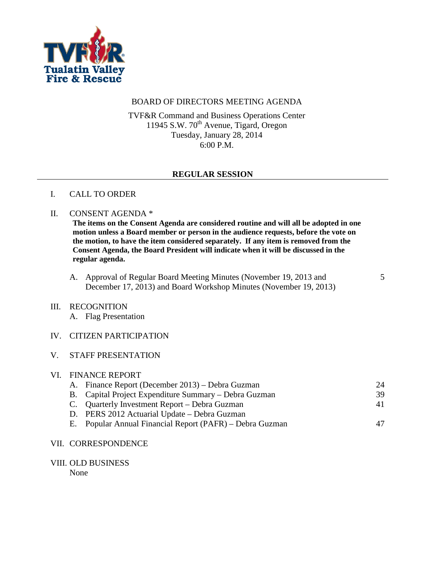

# BOARD OF DIRECTORS MEETING AGENDA

TVF&R Command and Business Operations Center 11945 S.W.  $70^{\text{th}}$  Avenue, Tigard, Oregon Tuesday, January 28, 2014 6:00 P.M.

## **REGULAR SESSION**

## I. CALL TO ORDER

#### II. CONSENT AGENDA \*

**The items on the Consent Agenda are considered routine and will all be adopted in one motion unless a Board member or person in the audience requests, before the vote on the motion, to have the item considered separately. If any item is removed from the Consent Agenda, the Board President will indicate when it will be discussed in the regular agenda.**

A. Approval of Regular Board Meeting Minutes (November 19, 2013 and December 17, 2013) and Board Workshop Minutes (November 19, 2013) 5

#### III. RECOGNITION

A. Flag Presentation

## IV. CITIZEN PARTICIPATION

#### V. STAFF PRESENTATION

| VI. FINANCE REPORT |                                                          |    |  |
|--------------------|----------------------------------------------------------|----|--|
|                    | A. Finance Report (December 2013) – Debra Guzman         | 24 |  |
|                    | B. Capital Project Expenditure Summary – Debra Guzman    | 39 |  |
|                    | C. Quarterly Investment Report – Debra Guzman            | 41 |  |
|                    | D. PERS 2012 Actuarial Update – Debra Guzman             |    |  |
|                    | E. Popular Annual Financial Report (PAFR) – Debra Guzman | 47 |  |
|                    |                                                          |    |  |

#### VII. CORRESPONDENCE

VIII. OLD BUSINESS

None